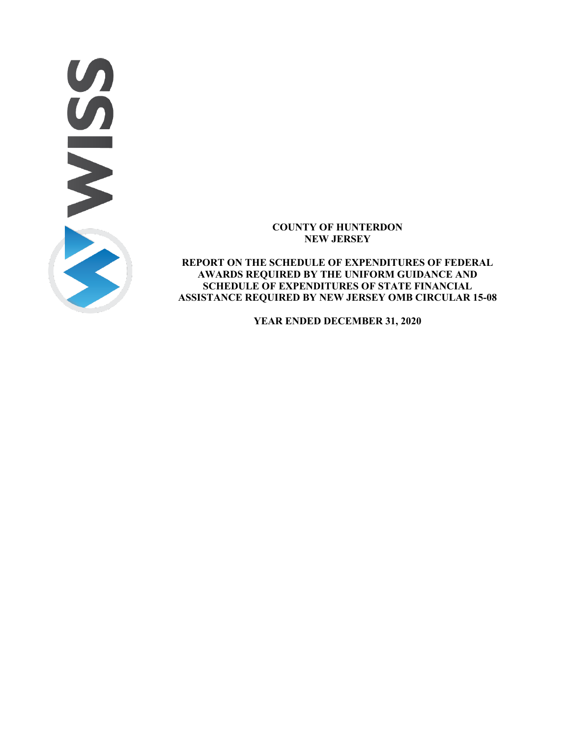

#### **COUNTY OF HUNTERDON NEW JERSEY**

**REPORT ON THE SCHEDULE OF EXPENDITURES OF FEDERAL AWARDS REQUIRED BY THE UNIFORM GUIDANCE AND SCHEDULE OF EXPENDITURES OF STATE FINANCIAL ASSISTANCE REQUIRED BY NEW JERSEY OMB CIRCULAR 15-08** 

**YEAR ENDED DECEMBER 31, 2020**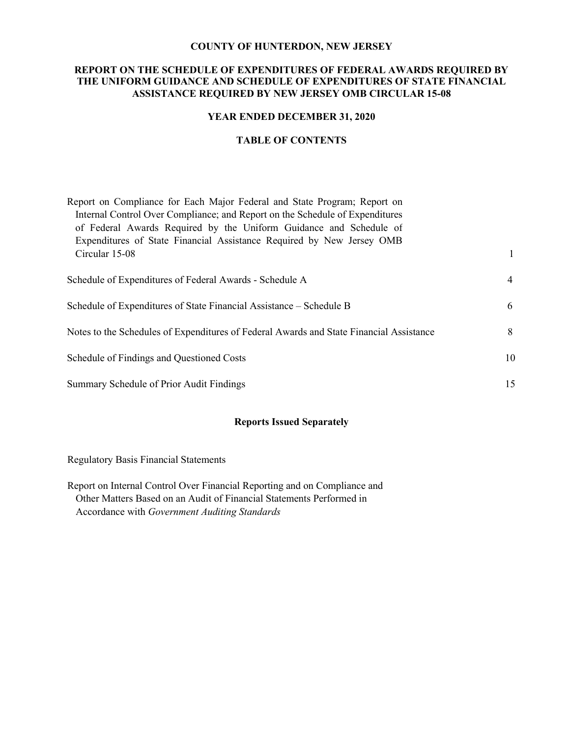#### **COUNTY OF HUNTERDON, NEW JERSEY**

#### **REPORT ON THE SCHEDULE OF EXPENDITURES OF FEDERAL AWARDS REQUIRED BY THE UNIFORM GUIDANCE AND SCHEDULE OF EXPENDITURES OF STATE FINANCIAL ASSISTANCE REQUIRED BY NEW JERSEY OMB CIRCULAR 15-08**

#### **YEAR ENDED DECEMBER 31, 2020**

#### **TABLE OF CONTENTS**

| Report on Compliance for Each Major Federal and State Program; Report on                |    |
|-----------------------------------------------------------------------------------------|----|
| Internal Control Over Compliance; and Report on the Schedule of Expenditures            |    |
| of Federal Awards Required by the Uniform Guidance and Schedule of                      |    |
| Expenditures of State Financial Assistance Required by New Jersey OMB                   |    |
| Circular 15-08                                                                          | 1  |
|                                                                                         |    |
| Schedule of Expenditures of Federal Awards - Schedule A                                 | 4  |
|                                                                                         |    |
| Schedule of Expenditures of State Financial Assistance – Schedule B                     | 6  |
|                                                                                         |    |
| Notes to the Schedules of Expenditures of Federal Awards and State Financial Assistance | 8  |
|                                                                                         |    |
| Schedule of Findings and Questioned Costs                                               | 10 |
|                                                                                         |    |
| Summary Schedule of Prior Audit Findings                                                | 15 |

#### **Reports Issued Separately**

Regulatory Basis Financial Statements

Report on Internal Control Over Financial Reporting and on Compliance and Other Matters Based on an Audit of Financial Statements Performed in Accordance with *Government Auditing Standards*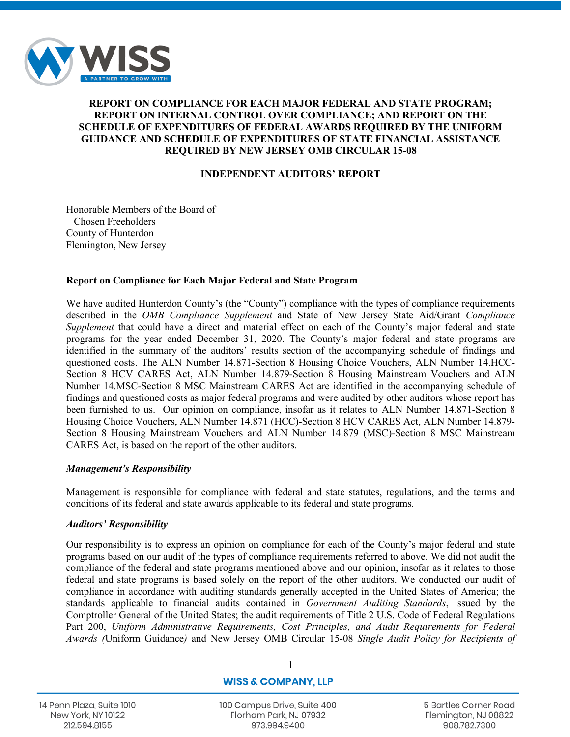

#### **REPORT ON COMPLIANCE FOR EACH MAJOR FEDERAL AND STATE PROGRAM; REPORT ON INTERNAL CONTROL OVER COMPLIANCE; AND REPORT ON THE SCHEDULE OF EXPENDITURES OF FEDERAL AWARDS REQUIRED BY THE UNIFORM GUIDANCE AND SCHEDULE OF EXPENDITURES OF STATE FINANCIAL ASSISTANCE REQUIRED BY NEW JERSEY OMB CIRCULAR 15-08**

#### **INDEPENDENT AUDITORS' REPORT**

Honorable Members of the Board of Chosen Freeholders County of Hunterdon Flemington, New Jersey

#### **Report on Compliance for Each Major Federal and State Program**

We have audited Hunterdon County's (the "County") compliance with the types of compliance requirements described in the *OMB Compliance Supplement* and State of New Jersey State Aid/Grant *Compliance Supplement* that could have a direct and material effect on each of the County's major federal and state programs for the year ended December 31, 2020. The County's major federal and state programs are identified in the summary of the auditors' results section of the accompanying schedule of findings and questioned costs. The ALN Number 14.871-Section 8 Housing Choice Vouchers, ALN Number 14.HCC-Section 8 HCV CARES Act, ALN Number 14.879-Section 8 Housing Mainstream Vouchers and ALN Number 14.MSC-Section 8 MSC Mainstream CARES Act are identified in the accompanying schedule of findings and questioned costs as major federal programs and were audited by other auditors whose report has been furnished to us. Our opinion on compliance, insofar as it relates to ALN Number 14.871-Section 8 Housing Choice Vouchers, ALN Number 14.871 (HCC)-Section 8 HCV CARES Act, ALN Number 14.879- Section 8 Housing Mainstream Vouchers and ALN Number 14.879 (MSC)-Section 8 MSC Mainstream CARES Act, is based on the report of the other auditors.

#### *Management's Responsibility*

Management is responsible for compliance with federal and state statutes, regulations, and the terms and conditions of its federal and state awards applicable to its federal and state programs.

#### *Auditors' Responsibility*

Our responsibility is to express an opinion on compliance for each of the County's major federal and state programs based on our audit of the types of compliance requirements referred to above. We did not audit the compliance of the federal and state programs mentioned above and our opinion, insofar as it relates to those federal and state programs is based solely on the report of the other auditors. We conducted our audit of compliance in accordance with auditing standards generally accepted in the United States of America; the standards applicable to financial audits contained in *Government Auditing Standards*, issued by the Comptroller General of the United States; the audit requirements of Title 2 U.S. Code of Federal Regulations Part 200, *Uniform Administrative Requirements, Cost Principles, and Audit Requirements for Federal Awards (*Uniform Guidance*)* and New Jersey OMB Circular 15-08 *Single Audit Policy for Recipients of* 

#### 1 **WISS & COMPANY, LLP**

14 Penn Plaza, Suite 1010 **New York, NY 10122** 212.594.8155

100 Campus Drive, Suite 400 Florham Park, NJ 07932 973.994.9400

5 Bartles Corner Road Flemington, NJ 08822 908.782.7300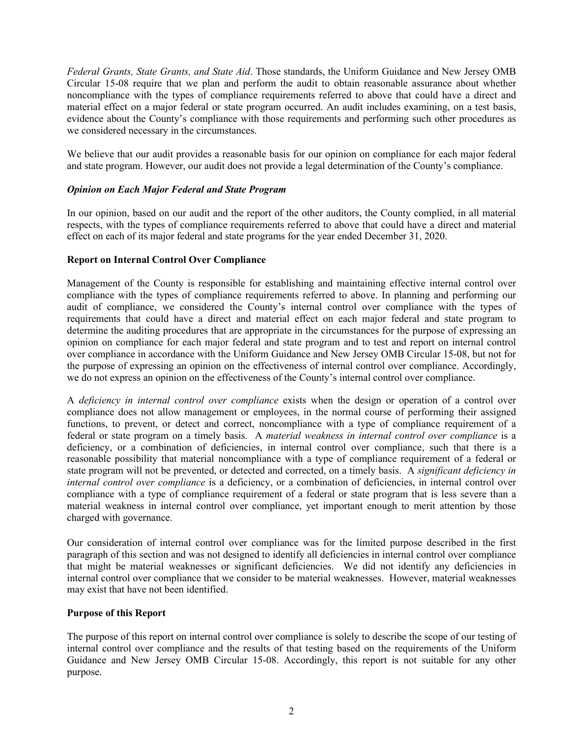*Federal Grants, State Grants, and State Aid*. Those standards, the Uniform Guidance and New Jersey OMB Circular 15-08 require that we plan and perform the audit to obtain reasonable assurance about whether noncompliance with the types of compliance requirements referred to above that could have a direct and material effect on a major federal or state program occurred. An audit includes examining, on a test basis, evidence about the County's compliance with those requirements and performing such other procedures as we considered necessary in the circumstances.

We believe that our audit provides a reasonable basis for our opinion on compliance for each major federal and state program. However, our audit does not provide a legal determination of the County's compliance.

#### *Opinion on Each Major Federal and State Program*

In our opinion, based on our audit and the report of the other auditors, the County complied, in all material respects, with the types of compliance requirements referred to above that could have a direct and material effect on each of its major federal and state programs for the year ended December 31, 2020.

#### **Report on Internal Control Over Compliance**

Management of the County is responsible for establishing and maintaining effective internal control over compliance with the types of compliance requirements referred to above. In planning and performing our audit of compliance, we considered the County's internal control over compliance with the types of requirements that could have a direct and material effect on each major federal and state program to determine the auditing procedures that are appropriate in the circumstances for the purpose of expressing an opinion on compliance for each major federal and state program and to test and report on internal control over compliance in accordance with the Uniform Guidance and New Jersey OMB Circular 15-08, but not for the purpose of expressing an opinion on the effectiveness of internal control over compliance. Accordingly, we do not express an opinion on the effectiveness of the County's internal control over compliance.

A *deficiency in internal control over compliance* exists when the design or operation of a control over compliance does not allow management or employees, in the normal course of performing their assigned functions, to prevent, or detect and correct, noncompliance with a type of compliance requirement of a federal or state program on a timely basis. A *material weakness in internal control over compliance* is a deficiency, or a combination of deficiencies, in internal control over compliance, such that there is a reasonable possibility that material noncompliance with a type of compliance requirement of a federal or state program will not be prevented, or detected and corrected, on a timely basis. A *significant deficiency in internal control over compliance* is a deficiency, or a combination of deficiencies, in internal control over compliance with a type of compliance requirement of a federal or state program that is less severe than a material weakness in internal control over compliance, yet important enough to merit attention by those charged with governance.

Our consideration of internal control over compliance was for the limited purpose described in the first paragraph of this section and was not designed to identify all deficiencies in internal control over compliance that might be material weaknesses or significant deficiencies. We did not identify any deficiencies in internal control over compliance that we consider to be material weaknesses. However, material weaknesses may exist that have not been identified.

#### **Purpose of this Report**

The purpose of this report on internal control over compliance is solely to describe the scope of our testing of internal control over compliance and the results of that testing based on the requirements of the Uniform Guidance and New Jersey OMB Circular 15-08. Accordingly, this report is not suitable for any other purpose.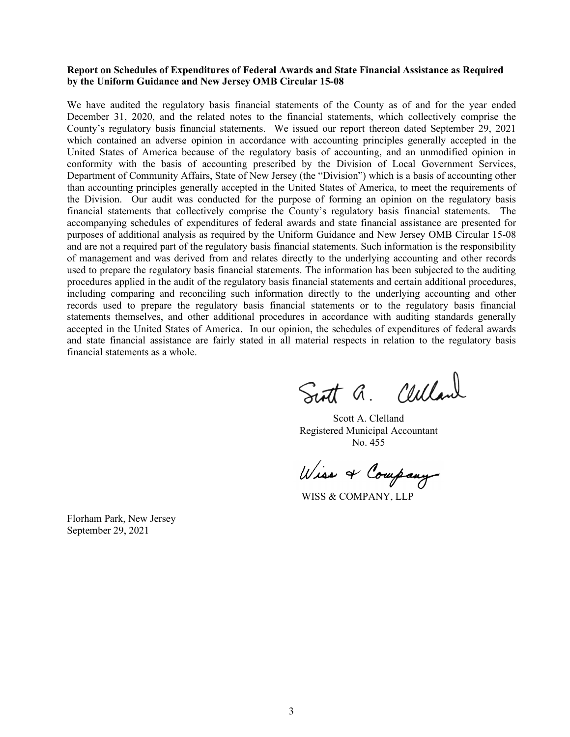#### **Report on Schedules of Expenditures of Federal Awards and State Financial Assistance as Required by the Uniform Guidance and New Jersey OMB Circular 15-08**

We have audited the regulatory basis financial statements of the County as of and for the year ended December 31, 2020, and the related notes to the financial statements, which collectively comprise the County's regulatory basis financial statements. We issued our report thereon dated September 29, 2021 which contained an adverse opinion in accordance with accounting principles generally accepted in the United States of America because of the regulatory basis of accounting, and an unmodified opinion in conformity with the basis of accounting prescribed by the Division of Local Government Services, Department of Community Affairs, State of New Jersey (the "Division") which is a basis of accounting other than accounting principles generally accepted in the United States of America, to meet the requirements of the Division. Our audit was conducted for the purpose of forming an opinion on the regulatory basis financial statements that collectively comprise the County's regulatory basis financial statements. The accompanying schedules of expenditures of federal awards and state financial assistance are presented for purposes of additional analysis as required by the Uniform Guidance and New Jersey OMB Circular 15-08 and are not a required part of the regulatory basis financial statements. Such information is the responsibility of management and was derived from and relates directly to the underlying accounting and other records used to prepare the regulatory basis financial statements. The information has been subjected to the auditing procedures applied in the audit of the regulatory basis financial statements and certain additional procedures, including comparing and reconciling such information directly to the underlying accounting and other records used to prepare the regulatory basis financial statements or to the regulatory basis financial statements themselves, and other additional procedures in accordance with auditing standards generally accepted in the United States of America. In our opinion, the schedules of expenditures of federal awards and state financial assistance are fairly stated in all material respects in relation to the regulatory basis financial statements as a whole.

Clilland Sixt a.

Scott A. Clelland Registered Municipal Accountant No. 455

Wiss & Company

WISS & COMPANY, LLP

Florham Park, New Jersey September 29, 2021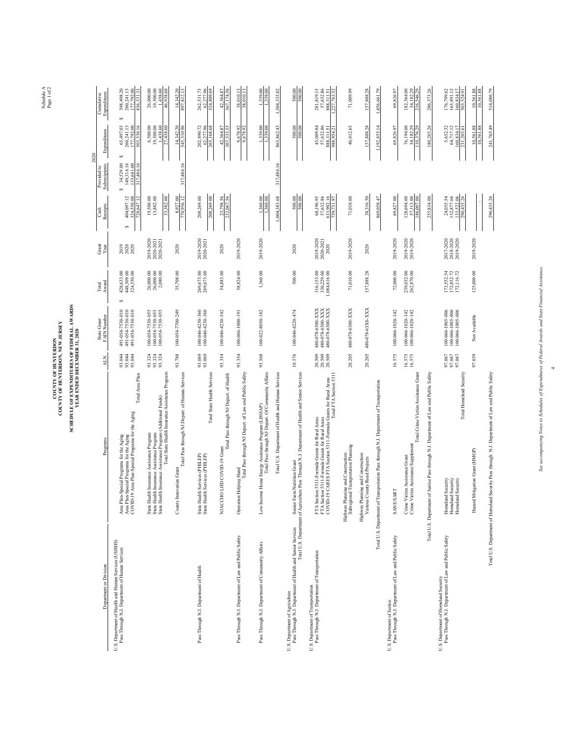| Department or Division                                                                                                        | Programs                                                                                                                                                                                                           | <b>ALN</b>                 | State Grant<br>FAIN Number                                                              | Award<br>Total                                                    | Grant<br>Year                       | Receipts<br>Cash                                    | 2020<br>Subrecipients<br>Provided to              | Expenditures                                                                              | Cumulative<br>Expenditures                            |
|-------------------------------------------------------------------------------------------------------------------------------|--------------------------------------------------------------------------------------------------------------------------------------------------------------------------------------------------------------------|----------------------------|-----------------------------------------------------------------------------------------|-------------------------------------------------------------------|-------------------------------------|-----------------------------------------------------|---------------------------------------------------|-------------------------------------------------------------------------------------------|-------------------------------------------------------|
| U.S. Department of Health and Human Services (USHHS)<br>Pass Through N.J. Department of Human Services                        | Total Area Plan<br>D-19 Area Plan-Special Programs for the Aging<br>Plan-Special Programs for the Aging<br>Plan-Special Programs for the Aging<br>Area <sup>1</sup><br>Area I                                      | 93.044<br>93.044           | 491-054-7530-010<br>491-054-7530-010<br>491-054-7530-010                                | 428,633.00<br>448,309.00<br>324,550.00<br>GĄ                      | 2019<br>2020                        | 404,097.12<br>324,550.00<br>र्दे<br>GP,             | 69<br>34,529.00<br>149,316.16<br>133,641.00<br>GĄ | 65,497.03<br>260,241.13<br>177,792.00                                                     | 398,498.20<br>260,241.13<br>177,792.00<br>36.53<br>GĄ |
|                                                                                                                               | Total State Health Insurance Assistance Program<br>Health Insurance Assistance Program (Additional Funds)<br>Health Insurance Assistance Program<br><b>Health Insurance Assistance Program</b><br>State]<br>State] | 93.324<br>93.324<br>93.324 | 100-054-7530-055<br>100-054-7530-055<br>100-054-7530-055                                | $\begin{array}{c} 26,000.00 \\ 26,000.00 \\ 2,080.00 \end{array}$ | 2019-2020<br>2020-2021<br>2020-2021 | 19,500.00<br>13,882.00<br>33,382.00                 |                                                   | $\begin{array}{c} 6,500.00 \\ 19,500.00 \\ \underline{1,438.60} \\ 27,438.60 \end{array}$ | $26,000.00$<br>19,500.00<br>1,438.60<br>46,938.60     |
|                                                                                                                               | Total Pass through NJ Depart. of Human Services<br>County Innovation Grant                                                                                                                                         | 93.788                     | 100-054-7700-249                                                                        | 35,708.00                                                         | 2020                                | 8,927.00<br>770,956.12                              | 317,486.16                                        | 14,342.20<br>545,310.96                                                                   | 14,342.20<br>897,812.13                               |
| Pass Through N.J. Department of Health                                                                                        | Total State Health Services<br>Health Services (PHILEP)<br>Health Services (PHILEP)<br>State]<br>State]                                                                                                            | 93.069<br>93.069           | 100-046-4230-360<br>100-046-4230-360                                                    | 269,673.00<br>269,673.00                                          | 2019-2020<br>2020-2021              | 208,269.00<br>208.269.00                            |                                                   | 202,890.72<br>62,277.96<br>265,168.68                                                     | 262,531.73<br>62,277.96<br>324,809.69                 |
|                                                                                                                               | Total Pass through NJ Depart. of Health<br>CHO LHD COVID-19 Grant<br><b>NJAC</b>                                                                                                                                   | 93.354                     | 100-046-4230-542                                                                        | 54,883.00                                                         | 2020                                | 23,798.56<br>232,067.56                             |                                                   | 42,364.87<br>307.533.55                                                                   | 42,364.87<br>367,174.56                               |
| Pass Through N.J. Department of Law and Public Safety                                                                         | Total Pass through NJ Depart. of Law and Public Safety<br>tion Helping Hand<br>Opera                                                                                                                               | 93.354                     | 100-066-1000-191                                                                        | 58,824.00                                                         | 2019-2020                           |                                                     |                                                   | 9,678.92                                                                                  | 38,010.13<br>8.010.13                                 |
| Pass Through N.J. Department of Community Affairs                                                                             | Total Pass through NJ Depart. Of Community Affairs<br>Low Income Home Energy Assistance Program (LIHEAP)                                                                                                           | 93.568                     | 100-022-8050-182                                                                        | 1,360.00                                                          | 2019-2020                           | 1,360.00<br>360.00                                  |                                                   | 1,339.00                                                                                  | 1,339.00                                              |
|                                                                                                                               | Total U.S. Department of Health and Human Services                                                                                                                                                                 |                            |                                                                                         |                                                                   |                                     | ,004,383.68                                         | 317,486.16                                        | ,862.43<br>863,                                                                           | 304,335.82                                            |
| Total U.S. Department of Agri<br>Pass Through N.J. Department of Health and Senior Services<br>U.S. Department of Agriculture | culture Pass Through N.J. Department of Health and Senior Services<br>Senior Farm Nutrition Grant                                                                                                                  | 10.576                     | 100-046-4220-474                                                                        | 500.00                                                            | 2020                                | 500.00<br>500.00                                    |                                                   | 500.00<br>500.00                                                                          | 500.00<br>500.00                                      |
| Pass Through N.J. Department of Transportation<br>U.S. Department of Transportation                                           | Total FTA Section 5311<br>FTA, Section 5311-Formula Grants for Rural Areas<br>FTA, Section 5311-Formula Grants for Rural Areas<br>COVID-19 CARES FTA, Section 5311-Formula Grants for Rural Areas                  | 20.509<br>20.509<br>20.509 | $\begin{array}{c} 480-078-6300-XXX \\ 480-078-6300-XXX \\ 480-078-6300-XXX \end{array}$ | 330,229.00<br>,084,616.00<br>316,153.00                           | 2019-2020<br>2020-2021<br>2020      | 68,196.95<br>57,632.86<br>633,902.16<br>759.731.97  |                                                   | 43,009.84<br>57,632.86<br>888,311.51<br>988.954.2                                         | 281,819.15<br>57,632.86<br>888,311.51<br>227.763.52   |
|                                                                                                                               | Highway Planning and Construction:<br>Subregional Transportation Planning                                                                                                                                          | 20.205                     | 480-078-6300-XXX                                                                        | 71,010.00                                                         | 2019-2020                           | 71,010.00                                           |                                                   | 46,012.65                                                                                 | 71,009.99                                             |
|                                                                                                                               | Planning and Construction:<br>Various County Road Projects<br>Highway 1                                                                                                                                            | 20.205                     | 480-078-63X0-XXX                                                                        | 157,888.28                                                        | 2020                                | 38,316.50                                           |                                                   | 157,888.28                                                                                | 157,888.28                                            |
|                                                                                                                               | Total U.S. Department of Transportation Pass through N.J. Department of Transportation                                                                                                                             |                            |                                                                                         |                                                                   |                                     | 869,058.47                                          |                                                   | 1,192,855.14                                                                              | 1,456,661.79                                          |
| Pass Through N.J. Department of Law and Public Safety<br>U.S. Department of Justice                                           | SANE/SART                                                                                                                                                                                                          | 16.575                     | 100-066-1020-142                                                                        | 72,000.00                                                         | 2019-2020                           | 69,827.00                                           |                                                   | 69,826.97                                                                                 | 69,826.97                                             |
|                                                                                                                               | Total Crime Victim Assistance Grant<br>Victim Assistance Supplement<br>Victim Assistance Grant<br>Crime<br>Crime                                                                                                   | 16.575<br>16.575           | 100-066-1020-142<br>100-066-1020-142                                                    | 239,032.00<br>262,870.00                                          | 2019-2020                           | 128,694.00<br>57,313.00<br>186,007.00               |                                                   | 76,194.00<br>182.29<br>10,376.29<br>34,                                                   | 182,364.00<br>34,182.29<br>216,546.29                 |
|                                                                                                                               | Total U.S. Department of Justice Pass through N.J. Department of Law and Public Safety                                                                                                                             |                            |                                                                                         |                                                                   |                                     | 255,834.00                                          |                                                   | 180,203.26                                                                                | 286,373.26                                            |
| Pass Through N.J. Department of Law and Public Safety<br>U.S. Department of Homeland Security                                 | Total Homeland Security<br>sland Security<br>sland Security<br>sland Security<br>Homel<br>Home<br>Home                                                                                                             | 97.067<br>97.067<br>97.067 | 100-066-1005-006<br>100-066-1005-006<br>100-066-1005-006                                | 173,552.54<br>172,852.72<br>172,116.72                            | 2017-2020<br>2018-2020<br>2019-2020 | 24,035.54<br>132,877.66<br>133,522.06<br>290,435.26 |                                                   | 5,652.32<br>64,717.12<br>160,834.17<br>231.203.6                                          | 176,799.62<br>165,891.12<br>160,834.17<br>503,524.9   |
|                                                                                                                               | Hazard Mitigation Grant (HMGP)                                                                                                                                                                                     | 97.039                     | Not Available                                                                           | 125,000.00                                                        | 2019-2020                           |                                                     |                                                   | 10,561.88<br>10.561.88                                                                    | 10,561.88<br>10,561.88                                |
|                                                                                                                               | Total U.S. Department of Homeland Security Pass through N.J. Department of Law and Public Safety                                                                                                                   |                            |                                                                                         |                                                                   |                                     | 290,435.26                                          |                                                   | 241,765.49                                                                                | 514,086.79                                            |

 $\begin{array}{c} \text{COUNTY OF HUNTERDOM} \\ \text{CONVTY OF HUNTERDOM, NEW JERSEY} \end{array}$ **COUNTY OF HUNTERDON, NEW JERSEY COUNTY OF HUNTERDON**

SCHEDULE OF EXPENDITURES OF FEDERAL AWARDS<br>YEAR ENDED DECEMBER 31, 2020 **SCHEDULE OF EXPENDITURES OF FEDERAL AWARDS YEAR ENDED DECEMBER 31, 2020**

Schedule A Page 1 of 2

See accompanying Notes to Schedules of Expenditures of Federal Awards and State Financial Assistance. *See accompanying Notes to Schedules of Expenditures of Federal Awards and State Financial Assistance.*

4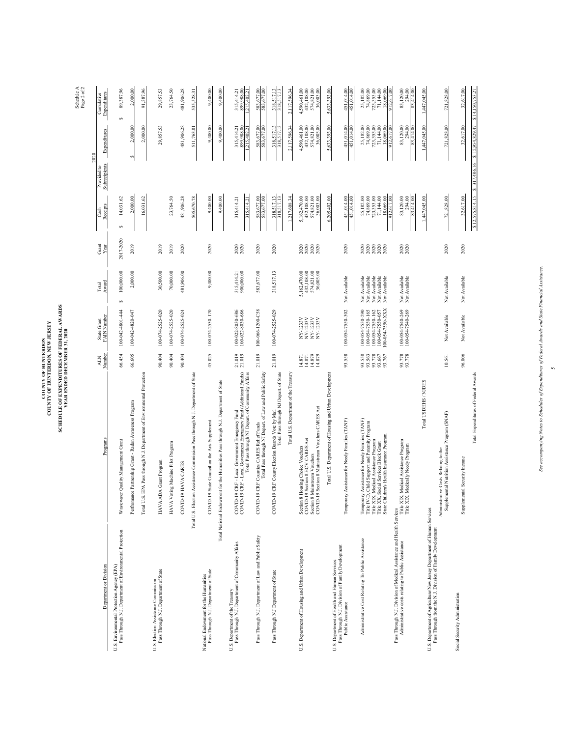| <b>OUNTY OF HUNTERDON</b> | V JERSEY<br>F HUNTERDON, NEW |
|---------------------------|------------------------------|
|                           | COUNTY OF                    |
|                           |                              |

### **SCHEDULE OF EXPENDITURES OF FEDERAL AWARDS<br>YEAR ENDED DECEMBER 31, 2020 SCHEDULE OF EXPENDITURES OF FEDERAL AWARDS YEAR ENDED DECEMBER 31, 2020**

Schedule A Page 2 of 2

|                                                                                                                            |                                                                                                                                                                                                                                         |                                         |                                                                                                | Total                                                                                | Grant                 | Cash                                                                         | Cumulative<br>2020<br>Provided to                                                                                                                                                               |
|----------------------------------------------------------------------------------------------------------------------------|-----------------------------------------------------------------------------------------------------------------------------------------------------------------------------------------------------------------------------------------|-----------------------------------------|------------------------------------------------------------------------------------------------|--------------------------------------------------------------------------------------|-----------------------|------------------------------------------------------------------------------|-------------------------------------------------------------------------------------------------------------------------------------------------------------------------------------------------|
| Department or Division                                                                                                     | Programs                                                                                                                                                                                                                                | ALN<br>Number                           | State Grant<br>FAIN Number                                                                     | Award                                                                                | Year                  | Receipts                                                                     | Expenditures<br>Expenditures<br>Subrecipients                                                                                                                                                   |
| Pass Through N.J. Department of Environmental Protection<br>U.S. Environmental Protection Agency (EPA)                     | Wastewater Quality Management Grant                                                                                                                                                                                                     | 66.454                                  | 100-042-4801-444                                                                               | 100,000.00<br>GA,                                                                    | 2017-2020             | 14,031.62<br>GA,                                                             | 89,387.96<br>GA,                                                                                                                                                                                |
|                                                                                                                            | Perfromance Partnership Grant - Radon Awareness Program                                                                                                                                                                                 | 66.605                                  | 100-042-4820-047                                                                               | 2,000.00                                                                             | 2019                  | 2,000.00                                                                     | 2,000.00<br>2,000.00<br>S                                                                                                                                                                       |
|                                                                                                                            | EPA Pass through N.J. Department of Environmental Protection<br>Total U.S.                                                                                                                                                              |                                         |                                                                                                |                                                                                      |                       | 16,031.62                                                                    | 91,387.96<br>2,000.00                                                                                                                                                                           |
| Pass Through N.J. Department of State<br>U.S. Election Assistance Commission                                               | DA Grant Program<br>HAVA A                                                                                                                                                                                                              | 90.404                                  | 100-074-2525-020                                                                               | 30,500.00                                                                            | 2019                  |                                                                              | 29,857.53<br>29,857.53                                                                                                                                                                          |
|                                                                                                                            | oting Machine Pilot Program<br><b>HAVA</b>                                                                                                                                                                                              | 90.404                                  | 100-074-2525-020                                                                               | 70,000.00                                                                            | 2019                  | 23,764.50                                                                    | 23,764.50                                                                                                                                                                                       |
|                                                                                                                            | COVID-19 HAVA CARES                                                                                                                                                                                                                     | 90.404                                  | 100-074-2525-024                                                                               | 481,906.00                                                                           | 2020                  | 481,906.28                                                                   | 481,906.28<br>481,906.28                                                                                                                                                                        |
|                                                                                                                            | Total U.S. Election Assistance Commission Pass through N.J. Department of State                                                                                                                                                         |                                         |                                                                                                |                                                                                      |                       | 505,670.78                                                                   | 535,528.31<br>511,763.8                                                                                                                                                                         |
| Pass Through N.J. Department of State<br>National Endowment for the Humanities                                             | State Council on the Arts Supplement<br>COVID-19                                                                                                                                                                                        | 45.025                                  | 100-074-2530-170                                                                               | 9,400.00                                                                             | 2020                  | 9,400.00                                                                     | 9,400.00<br>9,400.00                                                                                                                                                                            |
|                                                                                                                            | nent for the Humanities Pass through N.J. Department of State<br>Total National Endown                                                                                                                                                  |                                         |                                                                                                |                                                                                      |                       | 9,400.00                                                                     | 9,400.00<br>9,400.00                                                                                                                                                                            |
| Pass Through N.J. Department of Community Affairs<br>U.S. Department of the Treasury                                       | COVID-19 CRF - Local Government Emergency Fund (Additional Funds)<br>Total Pass through NJ Depart. of Community Affairs<br>CRF - Local Government Emergency Fund<br>COVID-19                                                            | 21.019                                  | 100-022-8030-686<br>100-022-8030-686                                                           | 315,414.21<br>900,000.00                                                             | 2020                  | 315,414.21<br>315,414.2                                                      | 315,414.21<br>899,988.00<br>.215,402.2<br>315,41421<br>899,988.00<br>.215,402                                                                                                                   |
| Pass Through N.J. Department of Law and Public Safety                                                                      | Total Pass through NJ Depart of Law and Public Safety<br>COVID-19 CRF Counties CARES ReliefFunds                                                                                                                                        | 21.019                                  | 100-066-1200-C58                                                                               | 583,677.00                                                                           | 2020                  | 583,677.00<br>583,677                                                        | 583,677.00<br>583,677.00<br>583,677.00<br>583,677                                                                                                                                               |
| Pass Through N.J Department of State                                                                                       | Total Pass through NJ Depart. of State<br>COVID-19 CRF County Election Boards Vote by Mail                                                                                                                                              | 21.019                                  | 100-074-2525-029                                                                               | 318,517.13                                                                           | 2020                  | 318,517.13<br>318,517                                                        | 318,517.13<br>318,517.<br>318,517.13<br>318.5                                                                                                                                                   |
|                                                                                                                            | Total U.S. Department of the Treasury                                                                                                                                                                                                   |                                         |                                                                                                |                                                                                      |                       | 1,217,608.34                                                                 | 2,117,596.34<br>2,117,596.34                                                                                                                                                                    |
| U.S. Department of Housing and Urban Development                                                                           | 19 Section 8 Mainstream Vouchers CARES Act<br>19 Section 8 HCV CARES Act<br>Section 8 Housing Choice Vouchers<br>Mainstream Vouchers<br>COVID-<br>Section 8<br>COVID-                                                                   | 14.871<br>14.879<br>14.879<br>14.879    | NY-1233V<br>NY-1233V<br>NY-1233V<br>NY-1233V                                                   | 5,162,470.00<br>$\begin{array}{c} 432,108.00 \\ 574,821.00 \\ 36,003.00 \end{array}$ | ភិន្ត្រី<br>ត្តន្ត្រី | 5,162,470.00<br>432,108.00<br>574,821.00<br>36,003.00                        | 4,590,461.00<br>$\begin{array}{c} 432,108.00 \\ 574,821.00 \\ 36,003.00 \end{array}$<br>574,821.00<br>4,590,461.00<br>432,108.00<br>36,003.00                                                   |
| U.S. Department of Health and Human Services                                                                               | Total U.S. Department of Housing and Urban Development                                                                                                                                                                                  |                                         |                                                                                                |                                                                                      |                       | 6,205,402.00                                                                 | 5,633,393.00<br>5,633,393.00                                                                                                                                                                    |
| Pass Through N.J. Division of Family Development<br>Public Assistance                                                      | Temporary Assistance for Needy Families (TANF)                                                                                                                                                                                          | 93.558                                  | 100-054-7550-302                                                                               | Not Available                                                                        | 2020                  | 451,014.00<br>œ<br>014                                                       | 451,014.00<br>451,014.00<br>014<br>4Ś.                                                                                                                                                          |
| Administrative Cost Relating To Public Assistance                                                                          | Temporary Assistance for Needy Families (TANF)<br>Title IV-D, Child Support and Patemity Program<br>Idren's Health Insurance Program<br>Title XIX, Medical Assistance Program<br>Social Services Block Grant<br>Title XX,<br>State Chil | 93.558<br>93.563<br>93.7,667<br>93.7,67 | 00-054-7550-XXX<br>100-054-7550-290<br>00-054-7550-165<br>100-054-7550-162<br>100-054-7550-057 | Not Available<br>Not Available<br>Not Available<br>Not Available<br>Not Available    | និងខ្លួនខ្លួ          | 25,182.00<br>74,869.00<br>723,353.00<br>71,144.00<br>18,069.00<br>912,617.00 | 25,182.00<br>74,869.00<br>723,353.00<br>$71,144.00$<br>$18,069.00$<br>912,617.00<br>$\begin{array}{c} 723,353.00 \\ 71,144.00 \\ 18.069.00 \end{array}$<br>25,182.00<br>74,869.00<br>912,617.00 |
| Pass Through N.J. Division of Medical Assistance and Health Services<br>Administrative costs relating to Public Assistance | Title XIX, Medical Assistance Program<br>Title XIX, Medically Needy Program                                                                                                                                                             | 93.778<br>93.778                        | 100-054-7540-269<br>100-054-7540-269                                                           | Not Available<br>Not Available                                                       | $2020$<br>$2020$      | 83,120.00<br>294.00<br>83,414.00                                             | 83,120.00<br>294.00<br>83,414.00<br>83,120.00<br>294.00<br>83,414.00                                                                                                                            |
| U.S. Department of Agriculture/New Jersey Department of Human Services                                                     | Total USDHHS / NJDHS                                                                                                                                                                                                                    |                                         |                                                                                                |                                                                                      |                       | 1,447,045.00                                                                 | 1,447,045.00<br>1,447,045.00                                                                                                                                                                    |
| Pass Through from the N.J. Division of Family Development                                                                  | Supplemental Nutrition Assistance Program (SNAP)<br>Administrative Costs Relating to the                                                                                                                                                | 10.561                                  | Not Available                                                                                  | Not Available                                                                        | 2020                  | 721,828.00                                                                   | 721,828.00<br>721,828.00                                                                                                                                                                        |
| Social Security Administration                                                                                             | Supplemental Security Income                                                                                                                                                                                                            | 96.006                                  | Not Available                                                                                  | Not Available                                                                        | 2020                  | 32,617.00                                                                    | 32,617.00<br>32,617.00                                                                                                                                                                          |
|                                                                                                                            | Total Expenditures of Federal Awards                                                                                                                                                                                                    |                                         |                                                                                                |                                                                                      |                       | \$12,575,814.15                                                              | \$14,150,753.27<br>\$12,954,829.47<br>\$ 317,486.16                                                                                                                                             |

5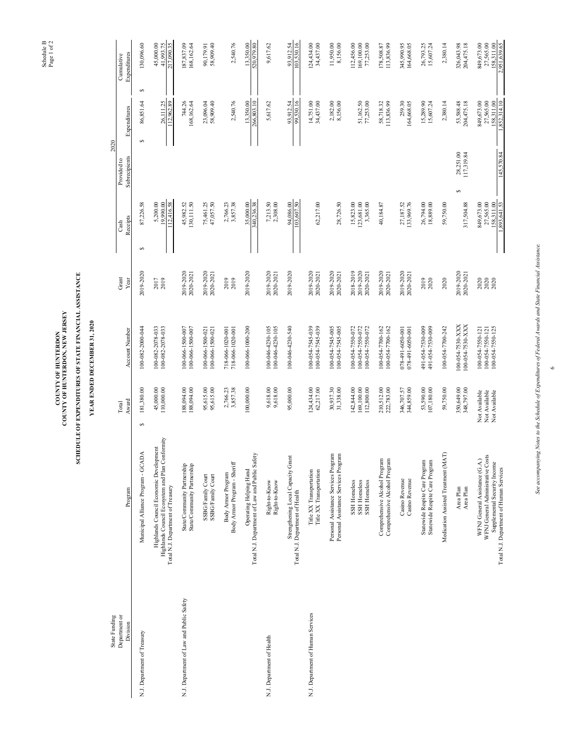### $\begin{array}{c} \text{COUNT} \\ \text{CONTY OF HUNTERDOM} \\ \text{COUNTY OF HUNTERDOM, NEW JERSEN} \end{array}$ **COUNTY OF HUNTERDON, NEW JERSEY COUNTY OF HUNTERDON**

# SCHEDULE OF EXPENDITURES OF STATE FINANCIAL ASSISTANCE **SCHEDULE OF EXPENDITURES OF STATE FINANCIAL ASSISTANCE**

## YEAR ENDED DECEMBER 31, 2020 **YEAR ENDED DECEMBER 31, 2020**

|               | Expenditures<br>Cunulative   | 130,096.60                         | 45,000.00<br>41,993.75<br>217,090.35                                                                                           | 187,837.09<br>68,162.64                                    | 58,909.40<br>90,179.91                 | 2,540.76                                           | 13,350.00<br>08.646'075                                                  | 9,617.62                             | 93,912.54<br>103,530.16                                               | 24,434.00<br>34,437.00                             | 11,950.00<br>8,156.00                                                             | 112,456.00<br>169,100.00<br>77,253.00                             | 113,836.99<br>178,508.87                                       | 345,990.95<br>164,668.05            | 26,793.25<br>15,607.24                                           | 2,380.14                            | 326,043.98<br>204,475.18             | 158,311.00<br>2,951,639.65<br>27,565.00<br>849,673.00                                                                                          |
|---------------|------------------------------|------------------------------------|--------------------------------------------------------------------------------------------------------------------------------|------------------------------------------------------------|----------------------------------------|----------------------------------------------------|--------------------------------------------------------------------------|--------------------------------------|-----------------------------------------------------------------------|----------------------------------------------------|-----------------------------------------------------------------------------------|-------------------------------------------------------------------|----------------------------------------------------------------|-------------------------------------|------------------------------------------------------------------|-------------------------------------|--------------------------------------|------------------------------------------------------------------------------------------------------------------------------------------------|
|               | Expenditures                 | S<br>86,851.64<br>S                | 26,111.25<br>112,962.89                                                                                                        | 744.26<br>168,162.64                                       | 23,096.04<br>58,909.40                 | 2,540.76                                           | 13,350.00<br>266,803.10                                                  | 5,617.62                             | 93,912.54<br>99,530.16                                                | 14,751.00<br>34,437.00                             | 2,182.00<br>8,156.00                                                              | 51,162.50<br>77,253.00                                            | 58,718.32<br>13,836.99                                         | 259.30<br>164,668.05                | 15,289.90<br>15,607.24                                           | 2,380.14                            | 53,588.48<br>204,475.18              | 27,565.00<br>158,311.00<br>1,852,314.10<br>849,673.00                                                                                          |
| 2020          | Subrecipients<br>Provided to |                                    |                                                                                                                                |                                                            |                                        |                                                    |                                                                          |                                      |                                                                       |                                                    |                                                                                   |                                                                   |                                                                |                                     |                                                                  |                                     | 28,251.00<br>17,319.84               | 145,570.84                                                                                                                                     |
|               | Receipts<br>Cash             | 87,226.58<br>S                     | 5,200.00<br>19,990.00<br>12,416.58                                                                                             | 30,111.50<br>45,982.52                                     | 75,461.25<br>47,057.50                 | 3,857.38<br>2,766.23                               | 35,000.00<br>340,236.38                                                  | 7,213.50<br>2,308.00                 | 94,086.00<br>03.607.50                                                | 62,217.00                                          | 28,726.50                                                                         | 15,823.00<br>123,681.00<br>3,365.00                               | 40,184.87                                                      | 33,969.76<br>27,187.52              | 26,794.00<br>18,889.00                                           | 59,750.00                           | 5<br>317,504.88                      | 849,673.00<br>27,565.00<br>158,311.00<br>1,893,641.53                                                                                          |
|               | Grant<br>Year                | 2019-2020                          | 2019<br>2017                                                                                                                   | 2019-2020<br>2020-2021                                     | 2019-2020<br>2020-2021                 | 2019<br>2019                                       | 2019-2020                                                                | 2019-2020<br>2020-2021               | 2019-2020                                                             | 2019-2020<br>2020-2021                             | 2019-2020<br>2020-2021                                                            | 2018-2019<br>2019-2020<br>2020-2021                               | 2019-2020<br>2020-2021                                         | 2019-2020<br>2020-2021              | 2019<br>2020                                                     | 2020                                | 2019-2020<br>2020-2021               | 2020<br>2020                                                                                                                                   |
|               | Account Number               | 100-082-2000-044                   | 100-082-2078-033<br>100-082-2078-033                                                                                           | 100-066-1500-007<br>100-066-1500-007                       | 100-066-1500-021<br>100-066-1500-021   | 718-066-1020-001<br>718-066-1020-001               | 100-066-1000-200                                                         | 100-046-4230-105<br>100-046-4230-105 | 100-046-4230-540                                                      | 100-054-7545-039<br>100-054-7545-039               | 100-054-7545-005<br>100-054-7545-005                                              | 100-054-7550-072<br>100-054-7550-072<br>100-054-7550-072          | 100-054-7700-162<br>100-054-7700-162                           | 078-491-6050-001<br>078491-6050-001 | 491-054-7530-009<br>491-054-7530-009                             | 100-054-7700-242                    | 100-054-7530-XXX<br>100-054-7530-XXX | 100-054-7550-125<br>100-054-7550-121<br>100-054-7550-121                                                                                       |
|               | Award<br>Total               | 181,380.00<br>У.                   | $45,000.00$<br>110,000.00                                                                                                      | $\frac{188,094.00}{188,094.00}$                            | 95,615.00<br>95,615.00                 | 2,766.23<br>3,857.38                               | 100,000.00                                                               | 9,618.00<br>9,618.00                 | 95,000.00                                                             | 124,434.00<br>62,217.00                            | 30,937.30<br>31,338.00                                                            | 142,844.00<br>169,100.00<br>112,800.00                            | 210,512.00<br>222,783.00                                       | 346,707.57<br>344,859.00            | $53,590.00$<br>107,180.00                                        | 59,750.00                           | 350,649.00<br>348,797.00             | Not Available<br>Not Available<br>Not Available                                                                                                |
|               | Program                      | Municipal Alliance Program - GCADA | Highlands Council Ecosystem and Plan Conformity<br>Highlands Council Economic Development<br>Total N.J. Department of Treasury | State/Community Partnership<br>State/Community Partnership | SSBG/Family Court<br>SSBG/Family Court | Body Armor Program - Sheriff<br>Body Armor Program | Total N.J. Department of Law and Public Safety<br>Operating Helping Hand | Right-to-Know<br>Right-to-Know       | Strengthening Local Capacity Grant<br>Total N.J. Department of Health | Title XX Transportation<br>Title XX Transportation | Personal Assistance Services Program<br>Ξ<br>Personal Assistance Services Progran | <b>SSH</b> Homeless<br><b>SSH</b> Homeless<br><b>SSH</b> Homeless | Comprehensive Alcohol Program<br>Comprehensive Alcohol Program | Casino Revenue<br>Casino Revenue    | Statewide Respite Care Program<br>Statewide Respite Care Program | Medication Assisted Treatment (MAT) | Area Plan<br>Area Plan               | WFNJ General Administrative Costs<br>WFNJ General Assistance (G.A.)<br>Supplemental Security Income<br>Total N.J. Department of Human Services |
| State Funding | Department or<br>Division    | N.J. Department of Treasury        |                                                                                                                                | N.J. Department of Law and Public Safety                   |                                        |                                                    |                                                                          | N.J. Department of Health            |                                                                       | N.J. Department of Human Services                  |                                                                                   |                                                                   |                                                                |                                     |                                                                  |                                     |                                      |                                                                                                                                                |

See accompanying Notes to the Schedule of Expenditures of Federal Awards and State Financial Assistance. *See accompanying Notes to the Schedule of Expenditures of Federal Awards and State Financial Assistance.*

 $\circ$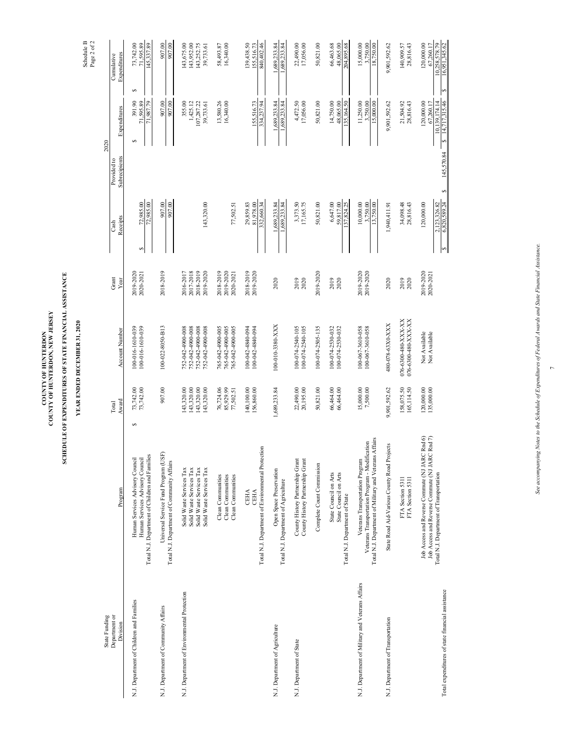## SCHEDULE OF EXPENDITURES OF STATE FINANCIAL ASSISTANCE **SCHEDULE OF EXPENDITURES OF STATE FINANCIAL ASSISTANCE**

## YEAR ENDED DECEMBER 31, 2020 **YEAR ENDED DECEMBER 31, 2020**

| Schedule B<br>Page 2 of 2 | Expenditures<br>Cunulative                 | 73,742.00<br>71,595.89<br>145,337.89<br>S                                                                            | 907.00<br>907.00                                                                   | 143,952.00<br>143,252.75<br>143,675.00<br>39,733.61                                                          | 58,493.87<br>16,340.00                                      | 139,438.50<br>155,516.73<br>840,402.46                            | 1,689,233.84<br>1,689,233.84                                    | 22,490.00<br>17,056.00                                               | 50,821.00                 | 66,463.68<br>48,065.00<br>204,895.68                                             | 15,000.00<br>3,750.00<br>18,750.00                                                                                                          | 9,901,592.62                                | 140,909.57<br>28,816.43                    | 120,000.00<br>67,260.17<br>10,258,578.79<br>16,951,345.62<br>S                                                                              |
|---------------------------|--------------------------------------------|----------------------------------------------------------------------------------------------------------------------|------------------------------------------------------------------------------------|--------------------------------------------------------------------------------------------------------------|-------------------------------------------------------------|-------------------------------------------------------------------|-----------------------------------------------------------------|----------------------------------------------------------------------|---------------------------|----------------------------------------------------------------------------------|---------------------------------------------------------------------------------------------------------------------------------------------|---------------------------------------------|--------------------------------------------|---------------------------------------------------------------------------------------------------------------------------------------------|
| 2020                      | Expenditures                               | 391.90<br>71,595.89<br>71,987.79<br>S.                                                                               | 907.00<br>907.00                                                                   | 355.00<br>1,425.12<br>107,287.22<br>39,733.61                                                                | 13,580.26<br>16,340.00                                      | 155,516.73<br>334,237.94                                          | 1,689,233.84<br>1,689,233.84                                    | 4,472.50<br>17,056.00                                                | 50,821.00                 | 14,750.00<br>35,164.50<br>48,065.00                                              | 11,250.00<br>3,750.00<br>15,000.00                                                                                                          | 9,901,592.62                                | 21,504.92<br>28,816.43                     | 10,139,174.14<br>14,717,315.46<br>120,000.00<br>67,260.17<br>S                                                                              |
|                           | Subrecipients<br>Provided to               |                                                                                                                      |                                                                                    |                                                                                                              |                                                             |                                                                   |                                                                 |                                                                      |                           |                                                                                  |                                                                                                                                             |                                             |                                            | 145,570.84<br>$\mathfrak{S}$                                                                                                                |
|                           | Receipts<br>Cash                           | 72,985.00<br>72,985.00<br>S                                                                                          | 907.00<br>907.00                                                                   | 143,320.00                                                                                                   | 77,502.51                                                   | 29,859.83<br>81,978.00<br>332,660.34                              | 1,689,233.84<br>1,689,233.84                                    | 3,373.50<br>7,165.75                                                 | 50,821.00                 | 6,647.00<br>59,817.00<br>37,824.25                                               | 10,000.00<br>3,750.00<br>13,750.00                                                                                                          | 1,940,411.91                                | 34,098.48<br>28,816.43                     | 2,123,326.82<br>6,820,589.24<br>120,000.00                                                                                                  |
|                           | Grant<br>Year                              | 2019-2020<br>2020-2021                                                                                               | 2018-2019                                                                          | 2018-2019<br>2019-2020<br>2016-2017<br>2017-2018                                                             | 2018-2019<br>2019-2020<br>2020-2021                         | 2018-2019<br>2019-2020                                            | 2020                                                            | 2019<br>2020                                                         | 2019-2020                 | 2019<br>2020                                                                     | 2019-2020<br>2019-2020                                                                                                                      | 2020                                        | 2019<br>2020                               | 2019-2020<br>2020-2021                                                                                                                      |
|                           | Account Number                             | 100-016-1610-039<br>100-016-1610-039                                                                                 | 100-022-8050-B13                                                                   | 752-042-4900-008<br>752-042-4900-008<br>752-042-4900-008<br>752-042-4900-008                                 | 765-042-4900-005<br>765-042-4900-005<br>765-042-4900-005    | 100-042-4840-094<br>100-042-4840-094                              | 100-010-3380-XXX                                                | 100-074-2540-105<br>100-074-2540-105                                 | 100-074-2505-135          | 100-074-2530-032<br>100-074-2530-032                                             | 100-067-3610-058<br>100-067-3610-058                                                                                                        | 480-078-63X0-XXX                            | 076-6300-480-XXX-XX<br>076-6300-480-XXX-XX | Not Available<br>Not Available                                                                                                              |
|                           | Award<br>Total                             | 73,742.00<br>73,742.00<br>S                                                                                          | 907.00                                                                             | (43,320.00)<br>43,320.00<br>143,320.00<br>143,320.00                                                         | 76,724.06<br>85,929.99<br>77,502.51                         | 140,100.00<br>156,860.00                                          | 1,689,233.84                                                    | 20,195.00<br>22,490.00                                               | 50,821.00                 | 66,464.00<br>66,464.00                                                           | $15,000.00$<br>7,500.00                                                                                                                     | 9,901,592.62                                | 165,114.50<br>158,075.50                   | 120,000.00<br>135,000.00                                                                                                                    |
|                           | Program                                    | Total N.J. Department of Children and Families<br>Human Services Advisory Council<br>Human Services Advisory Council | Universal Service Fund Program (USF)<br>Total N.J. Department of Community Affairs | Solid Waste Services Tax<br>Solid Waste Services Tax<br>Solid Waste Services Tax<br>Solid Waste Services Tax | Clean Communities<br>Clean Communities<br>Clean Communities | Total N.J. Department of Environmental Protection<br>CEHA<br>CEHA | Open Space Preservation<br>Total N.J. Department of Agriculture | County History Partnership Grant<br>County History Partnership Grant | Complete Count Commission | State Council on Arts<br>State Council on Arts<br>Total N.J. Department of State | Total N.J. Department of Military and Veterans Affairs<br>Veterans Transportation Program - Modification<br>Veterans Transportation Program | State Road Aid-Various County Road Projects | FTA Section 5311<br>FTA Section 5311       | Job Access and Reverse Commute (NJ JARC Rnd 6)<br>Job Access and Reverse Commute (NJ JARC Rnd 7)<br>Total N.J. Department of Transportation |
|                           | Department or<br>State Funding<br>Division | N.J. Department of Children and Families                                                                             | N.J. Department of Community Affairs                                               | N.J. Department of Environmental Protection                                                                  |                                                             |                                                                   | N.J. Department of Agriculture                                  | N.J. Department of State                                             |                           |                                                                                  | N.J. Department of Military and Veterans Affairs                                                                                            | N.J. Department of Transportation           |                                            | Total expenditures of state financial assistance                                                                                            |

<sup>7</sup>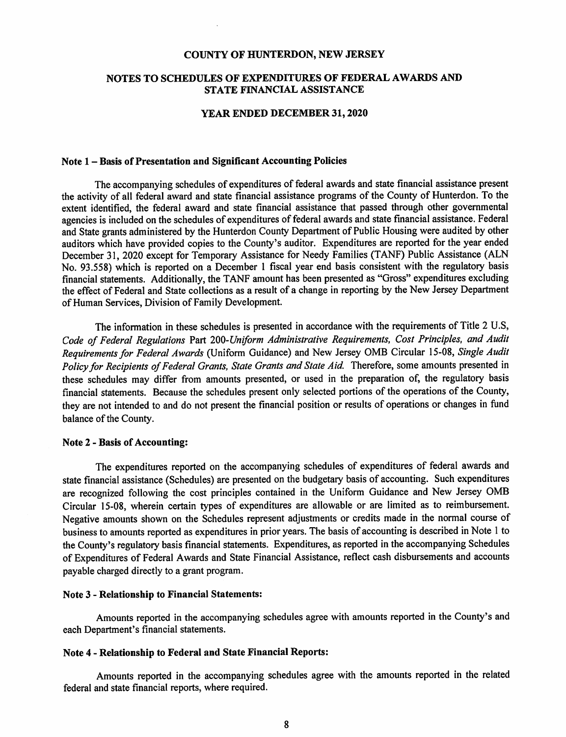#### **COUNTY OF HUNTERDON, NEW JERSEY**

#### NOTES TO SCHEDULES OF EXPENDITURES OF FEDERAL AWARDS AND STATE FINANCIAL ASSISTANCE

#### YEAR ENDED DECEMBER 31, 2020

#### Note 1 - Basis of Presentation and Significant Accounting Policies

The accompanying schedules of expenditures of federal awards and state financial assistance present the activity of all federal award and state financial assistance programs of the County of Hunterdon. To the extent identified, the federal award and state financial assistance that passed through other governmental agencies is included on the schedules of expenditures of federal awards and state financial assistance. Federal and State grants administered by the Hunterdon County Department of Public Housing were audited by other auditors which have provided copies to the County's auditor. Expenditures are reported for the year ended December 31, 2020 except for Temporary Assistance for Needy Families (TANF) Public Assistance (ALN No. 93.558) which is reported on a December 1 fiscal year end basis consistent with the regulatory basis financial statements. Additionally, the TANF amount has been presented as "Gross" expenditures excluding the effect of Federal and State collections as a result of a change in reporting by the New Jersey Department of Human Services, Division of Family Development.

The information in these schedules is presented in accordance with the requirements of Title 2 U.S, Code of Federal Regulations Part 200-Uniform Administrative Requirements, Cost Principles, and Audit Requirements for Federal Awards (Uniform Guidance) and New Jersey OMB Circular 15-08, Single Audit Policy for Recipients of Federal Grants, State Grants and State Aid. Therefore, some amounts presented in these schedules may differ from amounts presented, or used in the preparation of, the regulatory basis financial statements. Because the schedules present only selected portions of the operations of the County, they are not intended to and do not present the financial position or results of operations or changes in fund balance of the County.

#### **Note 2 - Basis of Accounting:**

The expenditures reported on the accompanying schedules of expenditures of federal awards and state financial assistance (Schedules) are presented on the budgetary basis of accounting. Such expenditures are recognized following the cost principles contained in the Uniform Guidance and New Jersey OMB Circular 15-08, wherein certain types of expenditures are allowable or are limited as to reimbursement. Negative amounts shown on the Schedules represent adjustments or credits made in the normal course of business to amounts reported as expenditures in prior years. The basis of accounting is described in Note 1 to the County's regulatory basis financial statements. Expenditures, as reported in the accompanying Schedules of Expenditures of Federal Awards and State Financial Assistance, reflect cash disbursements and accounts payable charged directly to a grant program.

#### **Note 3 - Relationship to Financial Statements:**

Amounts reported in the accompanying schedules agree with amounts reported in the County's and each Department's financial statements.

#### Note 4 - Relationship to Federal and State Financial Reports:

Amounts reported in the accompanying schedules agree with the amounts reported in the related federal and state financial reports, where required.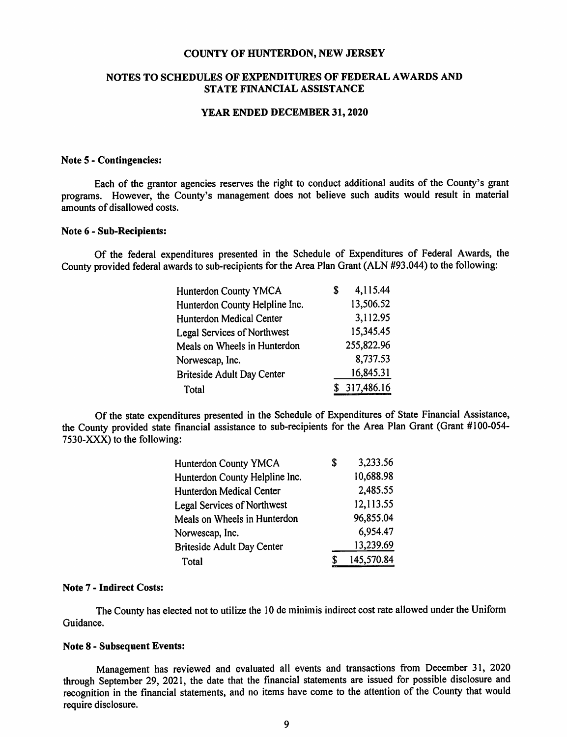#### **COUNTY OF HUNTERDON, NEW JERSEY**

#### NOTES TO SCHEDULES OF EXPENDITURES OF FEDERAL AWARDS AND STATE FINANCIAL ASSISTANCE

#### YEAR ENDED DECEMBER 31, 2020

#### **Note 5 - Contingencies:**

Each of the grantor agencies reserves the right to conduct additional audits of the County's grant programs. However, the County's management does not believe such audits would result in material amounts of disallowed costs.

#### **Note 6 - Sub-Recipients:**

Of the federal expenditures presented in the Schedule of Expenditures of Federal Awards, the County provided federal awards to sub-recipients for the Area Plan Grant (ALN #93.044) to the following:

| Hunterdon County YMCA             | 4,115.44   |
|-----------------------------------|------------|
| Hunterdon County Helpline Inc.    | 13,506.52  |
| Hunterdon Medical Center          | 3,112.95   |
| Legal Services of Northwest       | 15,345.45  |
| Meals on Wheels in Hunterdon      | 255,822.96 |
| Norwescap, Inc.                   | 8,737.53   |
| <b>Briteside Adult Day Center</b> | 16,845.31  |
| Total                             | 317,486.16 |

Of the state expenditures presented in the Schedule of Expenditures of State Financial Assistance, the County provided state financial assistance to sub-recipients for the Area Plan Grant (Grant #100-054- $7530 - XXXX$ ) to the following:

| Hunterdon County YMCA              | \$<br>3,233.56 |
|------------------------------------|----------------|
| Hunterdon County Helpline Inc.     | 10,688.98      |
| Hunterdon Medical Center           | 2,485.55       |
| <b>Legal Services of Northwest</b> | 12,113.55      |
| Meals on Wheels in Hunterdon       | 96,855.04      |
| Norwescap, Inc.                    | 6,954.47       |
| <b>Briteside Adult Day Center</b>  | 13,239.69      |
| Total                              | 145,570.84     |

#### **Note 7 - Indirect Costs:**

The County has elected not to utilize the 10 de minimis indirect cost rate allowed under the Uniform Guidance.

#### **Note 8 - Subsequent Events:**

Management has reviewed and evaluated all events and transactions from December 31, 2020 through September 29, 2021, the date that the financial statements are issued for possible disclosure and recognition in the financial statements, and no items have come to the attention of the County that would require disclosure.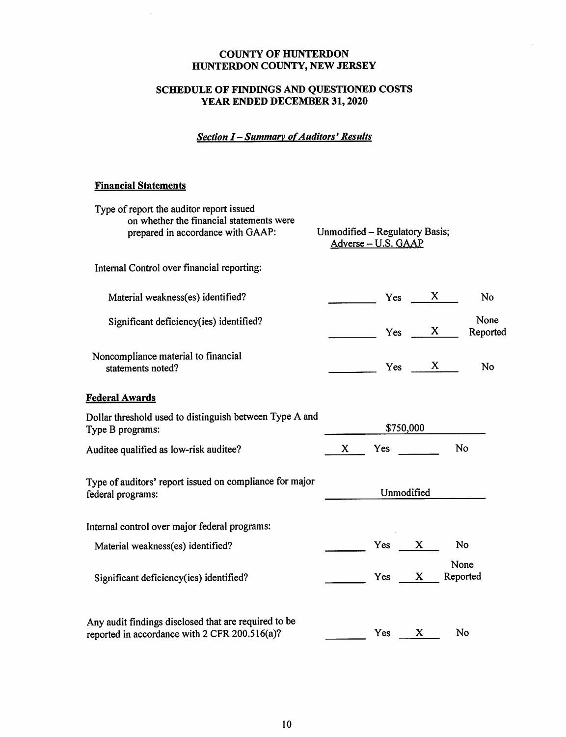#### SCHEDULE OF FINDINGS AND QUESTIONED COSTS YEAR ENDED DECEMBER 31, 2020

#### Section I - Summary of Auditors' Results

#### **Financial Statements**

 $\hat{\boldsymbol{\beta}}$ 

| Type of report the auditor report issued<br>on whether the financial statements were<br>prepared in accordance with GAAP: | Unmodified - Regulatory Basis;<br>Adverse-U.S. GAAP |
|---------------------------------------------------------------------------------------------------------------------------|-----------------------------------------------------|
| Internal Control over financial reporting:                                                                                |                                                     |
| Material weakness(es) identified?                                                                                         | X<br>Yes<br>No                                      |
| Significant deficiency(ies) identified?                                                                                   | None<br>X<br>Reported<br>Yes                        |
| Noncompliance material to financial<br>statements noted?                                                                  | X<br>No<br>Yes                                      |
| <b>Federal Awards</b>                                                                                                     |                                                     |
| Dollar threshold used to distinguish between Type A and<br>Type B programs:                                               | \$750,000                                           |
| Auditee qualified as low-risk auditee?                                                                                    | X<br><b>No</b><br>Yes                               |
| Type of auditors' report issued on compliance for major<br>federal programs:                                              | Unmodified                                          |
| Internal control over major federal programs:                                                                             |                                                     |
| Material weakness(es) identified?                                                                                         | No<br>Yes<br>X                                      |
| Significant deficiency(ies) identified?                                                                                   | None<br>Reported<br>Yes<br>$\mathbf{X}$             |
| Any audit findings disclosed that are required to be<br>reported in accordance with 2 CFR 200.516(a)?                     | No<br>Yes<br>X                                      |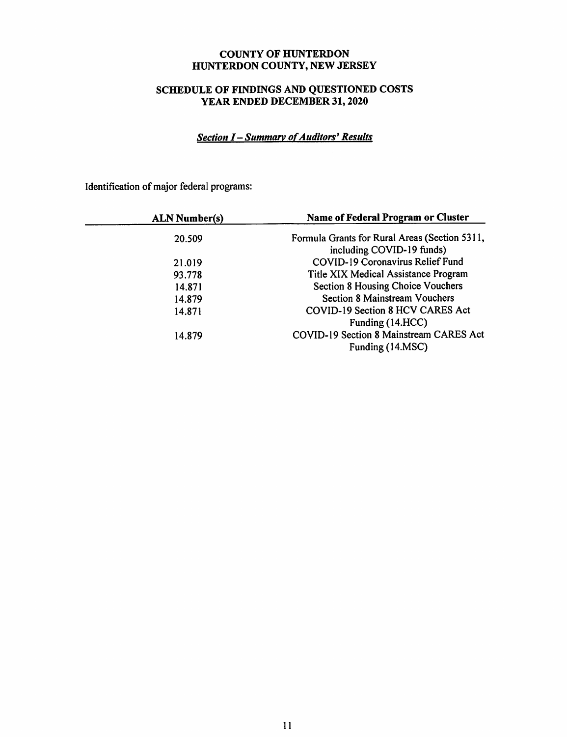### SCHEDULE OF FINDINGS AND QUESTIONED COSTS<br>YEAR ENDED DECEMBER 31, 2020

#### **Section I-Summary of Auditors' Results**

Identification of major federal programs:

| <b>ALN Number(s)</b> | <b>Name of Federal Program or Cluster</b>                                  |
|----------------------|----------------------------------------------------------------------------|
| 20.509               | Formula Grants for Rural Areas (Section 5311,<br>including COVID-19 funds) |
| 21.019               | COVID-19 Coronavirus Relief Fund                                           |
| 93.778               | Title XIX Medical Assistance Program                                       |
| 14.871               | <b>Section 8 Housing Choice Vouchers</b>                                   |
| 14.879               | <b>Section 8 Mainstream Vouchers</b>                                       |
| 14.871               | COVID-19 Section 8 HCV CARES Act                                           |
|                      | Funding (14.HCC)                                                           |
| 14.879               | COVID-19 Section 8 Mainstream CARES Act<br>Funding (14.MSC)                |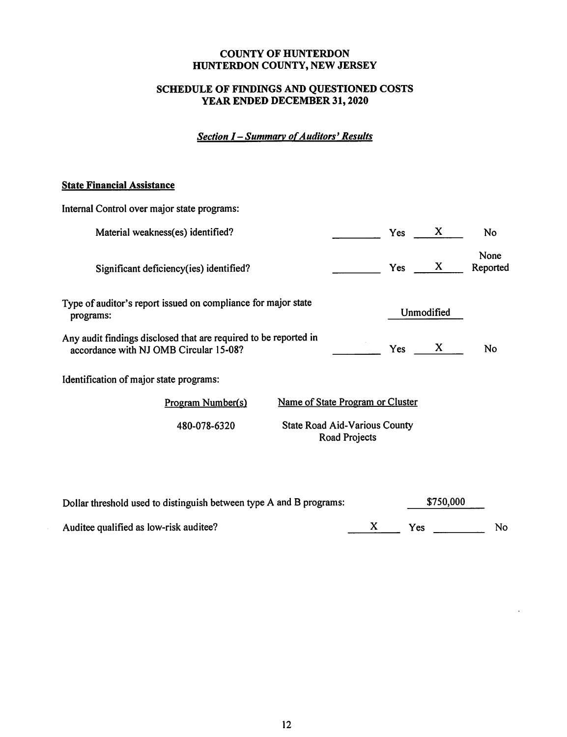#### SCHEDULE OF FINDINGS AND QUESTIONED COSTS YEAR ENDED DECEMBER 31, 2020

#### **Section I-Summary of Auditors' Results**

#### **State Financial Assistance**

 $\bar{\gamma}$ 

| Internal Control over major state programs:                                                                |                                                       |     |             |                  |
|------------------------------------------------------------------------------------------------------------|-------------------------------------------------------|-----|-------------|------------------|
| Material weakness(es) identified?                                                                          |                                                       | Yes | $\mathbf x$ | No               |
| Significant deficiency(ies) identified?                                                                    |                                                       | Yes | X.          | None<br>Reported |
| Type of auditor's report issued on compliance for major state<br>programs:                                 |                                                       |     | Unmodified  |                  |
| Any audit findings disclosed that are required to be reported in<br>accordance with NJ OMB Circular 15-08? |                                                       | Yes | X.          | No               |
| Identification of major state programs:                                                                    |                                                       |     |             |                  |
| Program Number(s)                                                                                          | Name of State Program or Cluster                      |     |             |                  |
| 480-078-6320                                                                                               | <b>State Road Aid-Various County</b><br>Road Projects |     |             |                  |
|                                                                                                            |                                                       |     |             |                  |

| Dollar threshold used to distinguish between type A and B programs: |  | \$750,000  |     |
|---------------------------------------------------------------------|--|------------|-----|
| Auditee qualified as low-risk auditee?                              |  | <b>Yes</b> | No. |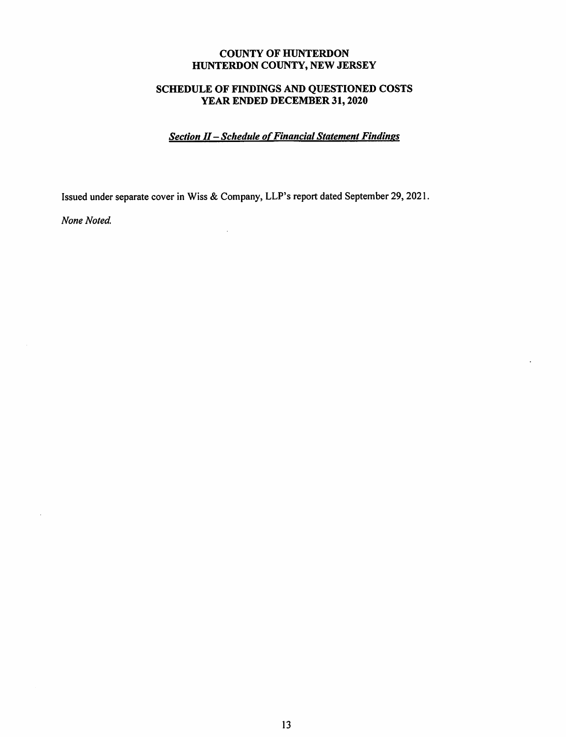#### SCHEDULE OF FINDINGS AND QUESTIONED COSTS YEAR ENDED DECEMBER 31, 2020

**Section II - Schedule of Financial Statement Findings** 

Issued under separate cover in Wiss & Company, LLP's report dated September 29, 2021.

 $\sim$ 

None Noted.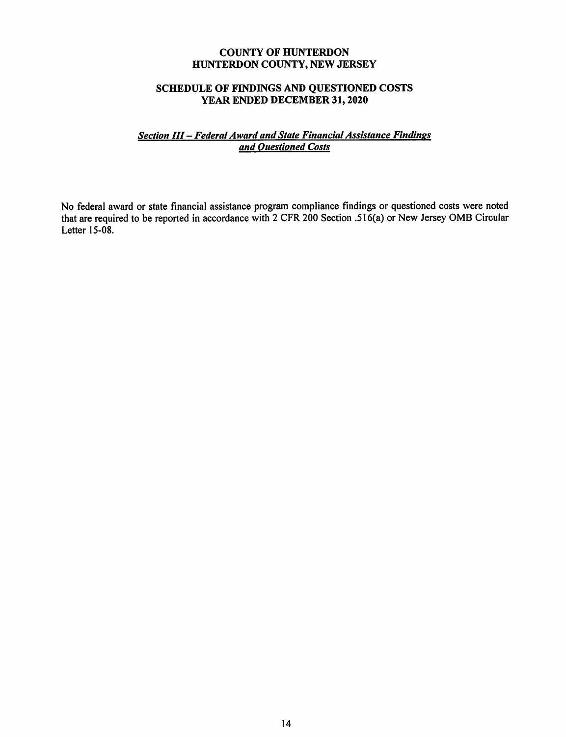#### SCHEDULE OF FINDINGS AND QUESTIONED COSTS YEAR ENDED DECEMBER 31, 2020

#### Section III - Federal Award and State Financial Assistance Findings and Questioned Costs

No federal award or state financial assistance program compliance findings or questioned costs were noted that are required to be reported in accordance with 2 CFR 200 Section .516(a) or New Jersey OMB Circular Letter 15-08.